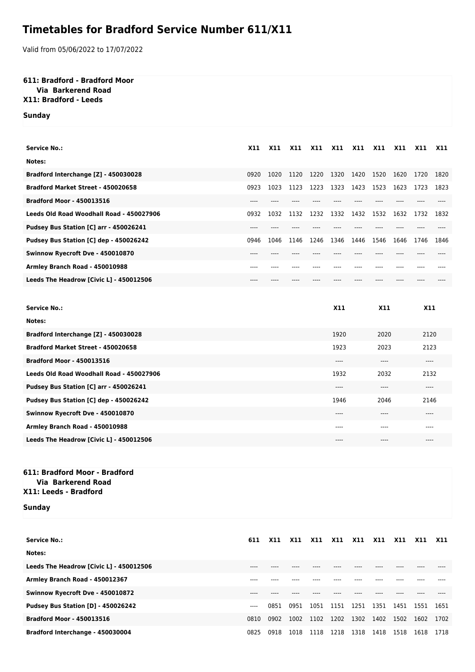# **Timetables for Bradford Service Number 611/X11**

Valid from 05/06/2022 to 17/07/2022

### **611: Bradford - Bradford Moor**

### **Via Barkerend Road**

## **X11: Bradford - Leeds**

#### **Sunday**

| <b>Service No.:</b>                      | <b>X11</b> | X11  | <b>X11</b> | X11  | <b>X11</b>   | <b>X11</b> | X11  | <b>X11</b> | X11  | X11  |
|------------------------------------------|------------|------|------------|------|--------------|------------|------|------------|------|------|
| Notes:                                   |            |      |            |      |              |            |      |            |      |      |
| Bradford Interchange [Z] - 450030028     | 0920       | 1020 | 1120       | 1220 | 1320         | 1420       | 1520 | 1620       | 1720 | 1820 |
| Bradford Market Street - 450020658       | 0923       | 1023 | 1123       | 1223 | 1323         | 1423       | 1523 | 1623       | 1723 | 1823 |
| <b>Bradford Moor - 450013516</b>         | ----       | ---- |            |      |              |            |      |            |      |      |
| Leeds Old Road Woodhall Road - 450027906 | 0932       | 1032 | 1132       | 1232 | 1332         | 1432       | 1532 | 1632       | 1732 | 1832 |
| Pudsey Bus Station [C] arr - 450026241   | ----       |      |            |      |              |            |      |            |      |      |
| Pudsey Bus Station [C] dep - 450026242   | 0946       | 1046 | 1146       | 1246 | 1346         | 1446       | 1546 | 1646       | 1746 | 1846 |
| Swinnow Ryecroft Dve - 450010870         | ----       |      |            |      |              |            | ---- |            |      |      |
| Armley Branch Road - 450010988           |            |      |            |      |              |            | ---- |            | ---- |      |
| Leeds The Headrow [Civic L] - 450012506  | $---$      | ---- |            |      |              |            | ---- | ----       | ---- |      |
|                                          |            |      |            |      |              |            |      |            |      |      |
| <b>Service No.:</b>                      |            |      |            |      | <b>X11</b>   | <b>X11</b> |      |            | X11  |      |
| Notes:                                   |            |      |            |      |              |            |      |            |      |      |
| Bradford Interchange [Z] - 450030028     |            |      |            |      | 1920         | 2020       |      |            | 2120 |      |
| Bradford Market Street - 450020658       |            |      |            |      | 1923         | 2023       |      |            | 2123 |      |
| <b>Bradford Moor - 450013516</b>         |            |      |            |      | ----<br>---- |            |      | ----       |      |      |
| Leeds Old Road Woodhall Road - 450027906 |            |      |            |      | 1932<br>2032 |            | 2132 |            |      |      |
| Pudsey Bus Station [C] arr - 450026241   |            |      |            |      | ----         |            | ---- |            | ---- |      |
| Pudsey Bus Station [C] dep - 450026242   |            |      |            |      | 1946         |            | 2046 |            | 2146 |      |
| Swinnow Ryecroft Dve - 450010870         |            |      |            |      | ----         |            | ---- |            | ---- |      |
| Armley Branch Road - 450010988           |            |      |            |      | ----         |            | ---- |            | ---- |      |

## **611: Bradford Moor - Bradford Via Barkerend Road**

#### **X11: Leeds - Bradford**

#### **Sunday**

| <b>Service No.:</b>                       | 611  | <b>X11</b> | <b>X11</b> | <b>X11</b> | <b>X11</b> | <b>X11</b> | <b>X11</b> | <b>X11</b> | <b>X11</b> | <b>X11</b> |
|-------------------------------------------|------|------------|------------|------------|------------|------------|------------|------------|------------|------------|
| Notes:                                    |      |            |            |            |            |            |            |            |            |            |
| Leeds The Headrow [Civic L] - 450012506   |      |            |            |            |            |            |            |            |            |            |
| Armley Branch Road - 450012367            |      |            |            |            |            |            |            |            |            |            |
| Swinnow Ryecroft Dve - 450010872          |      |            |            |            |            |            |            |            |            |            |
| <b>Pudsey Bus Station [D] - 450026242</b> | ---- | 0851       | 0951       | 1051       | 1151       | 1251       | 1351       | 1451       | 1551       | 1651       |
| <b>Bradford Moor - 450013516</b>          | 0810 | 0902       | 1002       | 1102       | 1202       | 1302       | 1402       | 1502       | 1602       | 1702       |
| Bradford Interchange - 450030004          | 0825 | 0918       | 1018       | 1118       | 1218       | 1318       | 1418       | 1518       | 1618       | 1718       |

**Leeds The Headrow [Civic L] - 450012506** ---- ---- ----